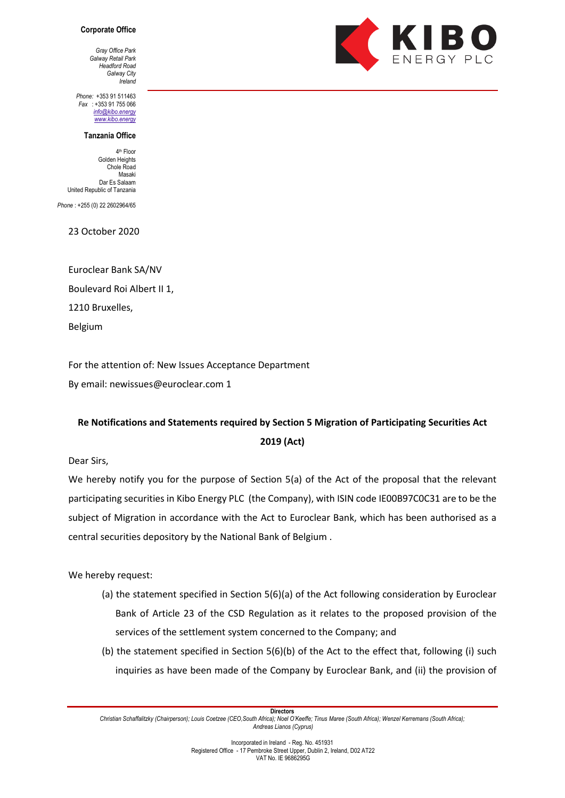## **Corporate Office**

*Gray Office Park Galway Retail Park Headford Road Galway City Ireland*

*Phone:* +353 91 511463 *Fax* : +353 91 755 066 *[info@kibo.e](mailto:info@kibo)nergy [www.kibo.e](http://www.kibo/)nergy*

## **Tanzania Office**

4th Floor Golden Heights Chole Road Masaki Dar Es Salaam United Republic of Tanzania

*Phone* : +255 (0) 22 2602964/65

23 October 2020

Euroclear Bank SA/NV Boulevard Roi Albert II 1, 1210 Bruxelles, Belgium

For the attention of: New Issues Acceptance Department

By email: newissues@euroclear.com 1

## **Re Notifications and Statements required by Section 5 Migration of Participating Securities Act 2019 (Act)**

Dear Sirs,

We hereby notify you for the purpose of Section 5(a) of the Act of the proposal that the relevant participating securities in Kibo Energy PLC (the Company), with ISIN code IE00B97C0C31 are to be the subject of Migration in accordance with the Act to Euroclear Bank, which has been authorised as a central securities depository by the National Bank of Belgium .

We hereby request:

- (a) the statement specified in Section 5(6)(a) of the Act following consideration by Euroclear Bank of Article 23 of the CSD Regulation as it relates to the proposed provision of the services of the settlement system concerned to the Company; and
- (b) the statement specified in Section 5(6)(b) of the Act to the effect that, following (i) such inquiries as have been made of the Company by Euroclear Bank, and (ii) the provision of